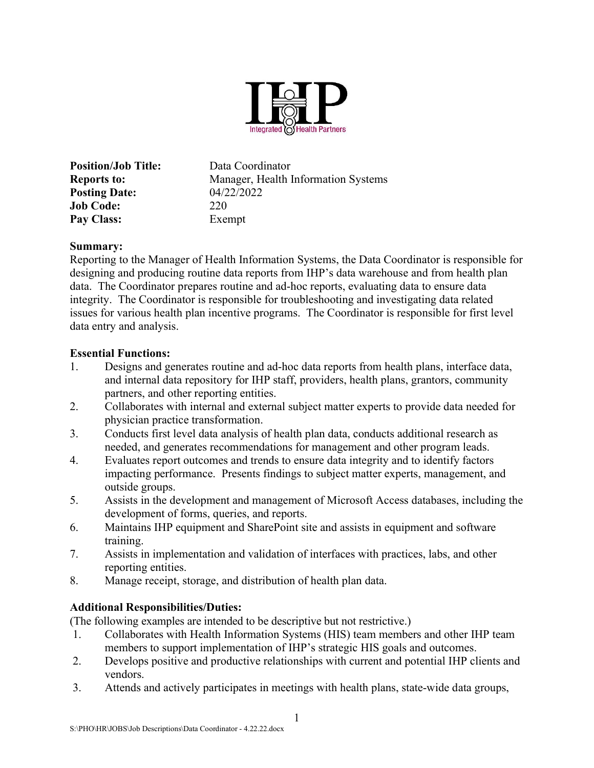

Position/Job Title: Data Coordinator Reports to: Manager, Health Information Systems **Posting Date:** 04/22/2022 Job Code: 220 Pay Class: Exempt

#### Summary:

Reporting to the Manager of Health Information Systems, the Data Coordinator is responsible for designing and producing routine data reports from IHP's data warehouse and from health plan data. The Coordinator prepares routine and ad-hoc reports, evaluating data to ensure data integrity. The Coordinator is responsible for troubleshooting and investigating data related issues for various health plan incentive programs. The Coordinator is responsible for first level data entry and analysis.

#### Essential Functions:

- 1. Designs and generates routine and ad-hoc data reports from health plans, interface data, and internal data repository for IHP staff, providers, health plans, grantors, community partners, and other reporting entities.
- 2. Collaborates with internal and external subject matter experts to provide data needed for physician practice transformation.
- 3. Conducts first level data analysis of health plan data, conducts additional research as needed, and generates recommendations for management and other program leads.
- 4. Evaluates report outcomes and trends to ensure data integrity and to identify factors impacting performance. Presents findings to subject matter experts, management, and outside groups.
- 5. Assists in the development and management of Microsoft Access databases, including the development of forms, queries, and reports.
- 6. Maintains IHP equipment and SharePoint site and assists in equipment and software training.
- 7. Assists in implementation and validation of interfaces with practices, labs, and other reporting entities.
- 8. Manage receipt, storage, and distribution of health plan data.

## Additional Responsibilities/Duties:

(The following examples are intended to be descriptive but not restrictive.)

- 1. Collaborates with Health Information Systems (HIS) team members and other IHP team members to support implementation of IHP's strategic HIS goals and outcomes.
- 2. Develops positive and productive relationships with current and potential IHP clients and vendors.
- 3. Attends and actively participates in meetings with health plans, state-wide data groups,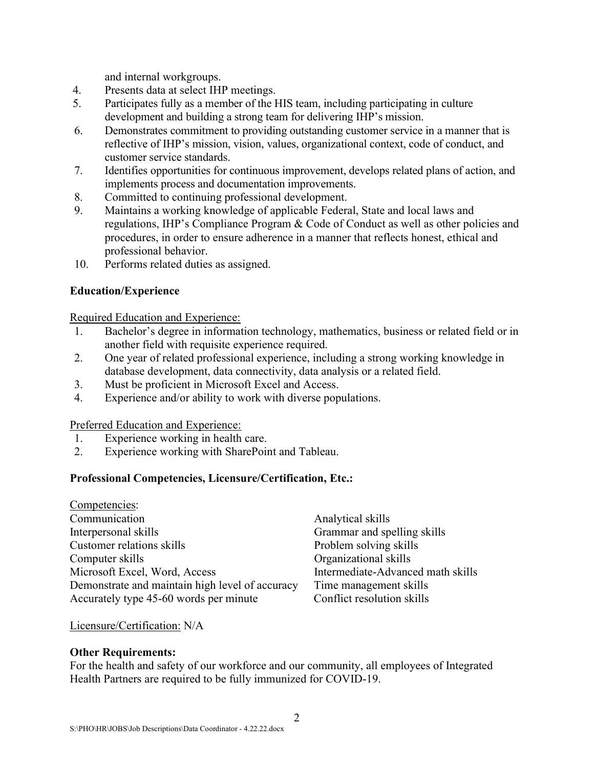and internal workgroups.

- 4. Presents data at select IHP meetings.
- 5. Participates fully as a member of the HIS team, including participating in culture development and building a strong team for delivering IHP's mission.
- 6. Demonstrates commitment to providing outstanding customer service in a manner that is reflective of IHP's mission, vision, values, organizational context, code of conduct, and customer service standards.
- 7. Identifies opportunities for continuous improvement, develops related plans of action, and implements process and documentation improvements.
- 8. Committed to continuing professional development.
- 9. Maintains a working knowledge of applicable Federal, State and local laws and regulations, IHP's Compliance Program & Code of Conduct as well as other policies and procedures, in order to ensure adherence in a manner that reflects honest, ethical and professional behavior.
- 10. Performs related duties as assigned.

# Education/Experience

Required Education and Experience:

- 1. Bachelor's degree in information technology, mathematics, business or related field or in another field with requisite experience required.
- 2. One year of related professional experience, including a strong working knowledge in database development, data connectivity, data analysis or a related field.
- 3. Must be proficient in Microsoft Excel and Access.
- 4. Experience and/or ability to work with diverse populations.

## Preferred Education and Experience:

- 1. Experience working in health care.
- 2. Experience working with SharePoint and Tableau.

# Professional Competencies, Licensure/Certification, Etc.:

| Competencies:                                   |
|-------------------------------------------------|
| Communication                                   |
| Interpersonal skills                            |
| Customer relations skills                       |
| Computer skills                                 |
| Microsoft Excel, Word, Access                   |
| Demonstrate and maintain high level of accuracy |
| Accurately type 45-60 words per minute          |

Analytical skills Grammar and spelling skills Problem solving skills Organizational skills Intermediate-Advanced math skills Time management skills Conflict resolution skills

## Licensure/Certification: N/A

## Other Requirements:

For the health and safety of our workforce and our community, all employees of Integrated Health Partners are required to be fully immunized for COVID-19.